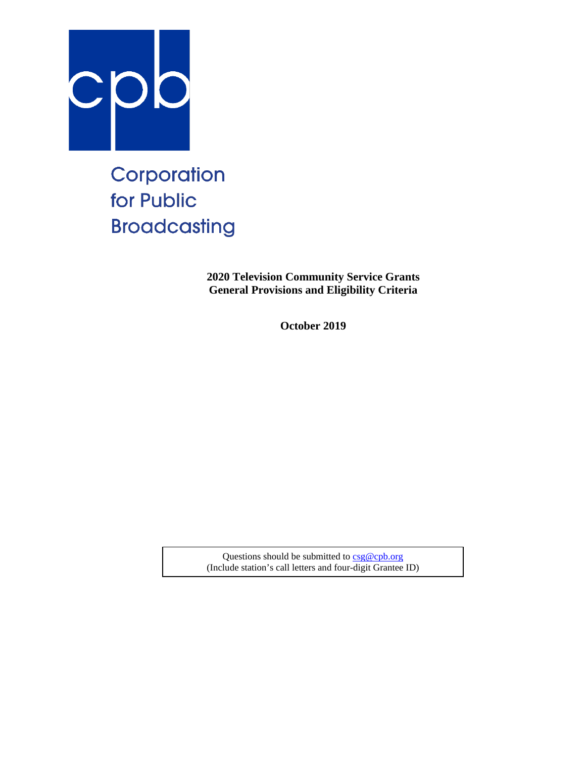

# Corporation for Public **Broadcasting**

**2020 Television Community Service Grants General Provisions and Eligibility Criteria**

**October 2019**

Questions should be submitted t[o csg@cpb.org](mailto:csg@cpb.org) (Include station's call letters and four-digit Grantee ID)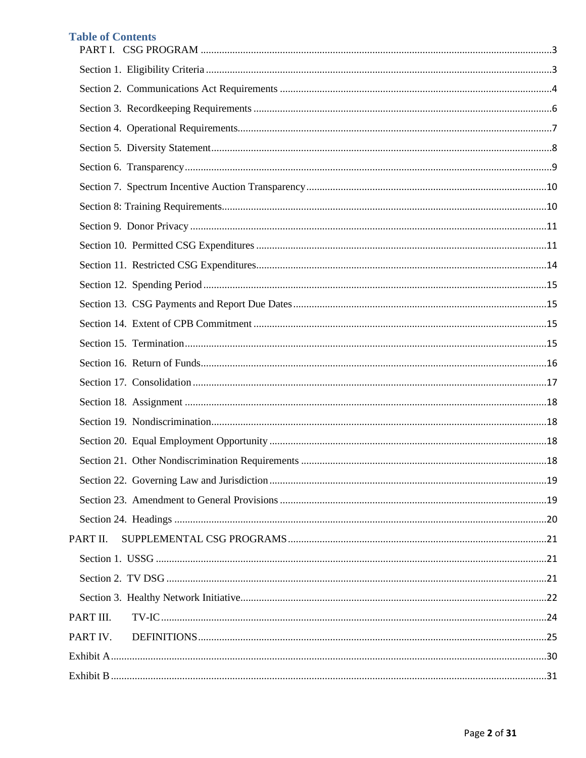# **Table of Contents**

| PART II.  |  |
|-----------|--|
|           |  |
|           |  |
|           |  |
| PART III. |  |
| PART IV.  |  |
|           |  |
|           |  |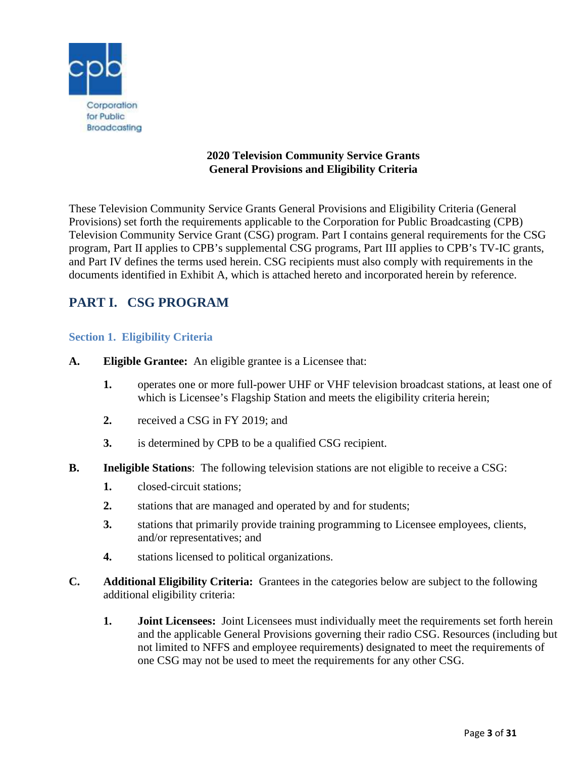

# **2020 Television Community Service Grants General Provisions and Eligibility Criteria**

These Television Community Service Grants General Provisions and Eligibility Criteria (General Provisions) set forth the requirements applicable to the Corporation for Public Broadcasting (CPB) Television Community Service Grant (CSG) program. Part I contains general requirements for the CSG program, Part II applies to CPB's supplemental CSG programs, Part III applies to CPB's TV-IC grants, and Part IV defines the terms used herein. CSG recipients must also comply with requirements in the documents identified in Exhibit A, which is attached hereto and incorporated herein by reference.

# <span id="page-2-0"></span>**PART I. CSG PROGRAM**

# <span id="page-2-1"></span>**Section 1. Eligibility Criteria**

- **A. Eligible Grantee:** An eligible grantee is a Licensee that:
	- **1.** operates one or more full-power UHF or VHF television broadcast stations, at least one of which is Licensee's Flagship Station and meets the eligibility criteria herein;
	- **2.** received a CSG in FY 2019; and
	- **3.** is determined by CPB to be a qualified CSG recipient.
- **B.** Ineligible Stations: The following television stations are not eligible to receive a CSG:
	- **1.** closed-circuit stations;
	- **2.** stations that are managed and operated by and for students;
	- **3.** stations that primarily provide training programming to Licensee employees, clients, and/or representatives; and
	- **4.** stations licensed to political organizations.
- **C. Additional Eligibility Criteria:** Grantees in the categories below are subject to the following additional eligibility criteria:
	- **1. Joint Licensees:** Joint Licensees must individually meet the requirements set forth herein and the applicable General Provisions governing their radio CSG. Resources (including but not limited to NFFS and employee requirements) designated to meet the requirements of one CSG may not be used to meet the requirements for any other CSG.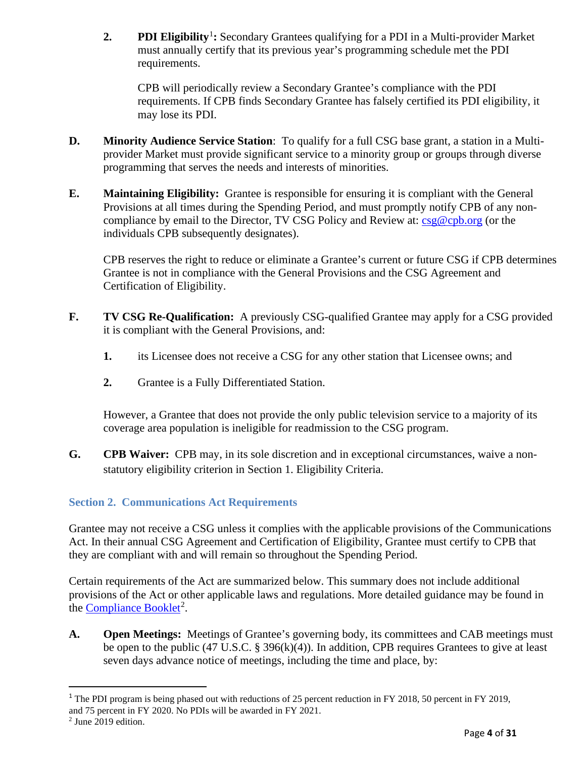2. **PDI Eligibility**<sup>[1](#page-3-1)</sup>: Secondary Grantees qualifying for a PDI in a Multi-provider Market must annually certify that its previous year's programming schedule met the PDI requirements.

CPB will periodically review a Secondary Grantee's compliance with the PDI requirements. If CPB finds Secondary Grantee has falsely certified its PDI eligibility, it may lose its PDI.

- **D. Minority Audience Service Station**: To qualify for a full CSG base grant, a station in a Multiprovider Market must provide significant service to a minority group or groups through diverse programming that serves the needs and interests of minorities.
- **E. Maintaining Eligibility:** Grantee is responsible for ensuring it is compliant with the General Provisions at all times during the Spending Period, and must promptly notify CPB of any noncompliance by email to the Director, TV CSG Policy and Review at:  $csg@cpb.org$  (or the individuals CPB subsequently designates).

CPB reserves the right to reduce or eliminate a Grantee's current or future CSG if CPB determines Grantee is not in compliance with the General Provisions and the CSG Agreement and Certification of Eligibility.

- **F. TV CSG Re-Qualification:** A previously CSG-qualified Grantee may apply for a CSG provided it is compliant with the General Provisions, and:
	- **1.** its Licensee does not receive a CSG for any other station that Licensee owns; and
	- **2.** Grantee is a Fully Differentiated Station.

However, a Grantee that does not provide the only public television service to a majority of its coverage area population is ineligible for readmission to the CSG program.

**G. CPB Waiver:** CPB may, in its sole discretion and in exceptional circumstances, waive a nonstatutory eligibility criterion in Section 1. Eligibility Criteria.

# <span id="page-3-0"></span>**Section 2. Communications Act Requirements**

Grantee may not receive a CSG unless it complies with the applicable provisions of the Communications Act. In their annual CSG Agreement and Certification of Eligibility, Grantee must certify to CPB that they are compliant with and will remain so throughout the Spending Period.

Certain requirements of the Act are summarized below. This summary does not include additional provisions of the Act or other applicable laws and regulations. More detailed guidance may be found in the **Compliance Booklet<sup>[2](#page-3-2)</sup>**.

**A. Open Meetings:** Meetings of Grantee's governing body, its committees and CAB meetings must be open to the public (47 U.S.C. § 396(k)(4)). In addition, CPB requires Grantees to give at least seven days advance notice of meetings, including the time and place, by:

<span id="page-3-1"></span><sup>&</sup>lt;sup>1</sup> The PDI program is being phased out with reductions of 25 percent reduction in FY 2018, 50 percent in FY 2019, and 75 percent in FY 2020. No PDIs will be awarded in FY 2021.

<span id="page-3-2"></span><sup>2</sup> June 2019 edition.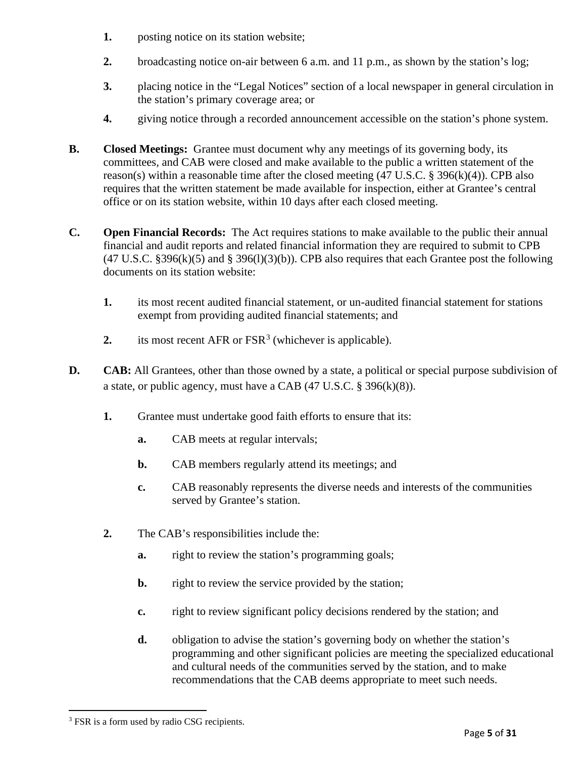- **1.** posting notice on its station website;
- **2.** broadcasting notice on-air between 6 a.m. and 11 p.m., as shown by the station's log;
- **3.** placing notice in the "Legal Notices" section of a local newspaper in general circulation in the station's primary coverage area; or
- **4.** giving notice through a recorded announcement accessible on the station's phone system.
- **B. Closed Meetings:** Grantee must document why any meetings of its governing body, its committees, and CAB were closed and make available to the public a written statement of the reason(s) within a reasonable time after the closed meeting  $(47 \text{ U.S.C.} \text{ } \text{\$ } 396 \text{(k)}(4))$ . CPB also requires that the written statement be made available for inspection, either at Grantee's central office or on its station website, within 10 days after each closed meeting.
- **C. Open Financial Records:** The Act requires stations to make available to the public their annual financial and audit reports and related financial information they are required to submit to CPB  $(47 \text{ U.S.C. }$  \$396(k)(5) and \$396(l)(3)(b)). CPB also requires that each Grantee post the following documents on its station website:
	- **1.** its most recent audited financial statement, or un-audited financial statement for stations exempt from providing audited financial statements; and
	- 2. its most recent AFR or  $FSR<sup>3</sup>$  $FSR<sup>3</sup>$  $FSR<sup>3</sup>$  (whichever is applicable).
- **D. CAB:** All Grantees, other than those owned by a state, a political or special purpose subdivision of a state, or public agency, must have a CAB (47 U.S.C. § 396(k)(8)).
	- **1.** Grantee must undertake good faith efforts to ensure that its:
		- **a.** CAB meets at regular intervals;
		- **b.** CAB members regularly attend its meetings; and
		- **c.** CAB reasonably represents the diverse needs and interests of the communities served by Grantee's station.
	- **2.** The CAB's responsibilities include the:
		- **a.** right to review the station's programming goals;
		- **b.** right to review the service provided by the station;
		- **c.** right to review significant policy decisions rendered by the station; and
		- **d.** obligation to advise the station's governing body on whether the station's programming and other significant policies are meeting the specialized educational and cultural needs of the communities served by the station, and to make recommendations that the CAB deems appropriate to meet such needs.

<span id="page-4-0"></span><sup>&</sup>lt;sup>3</sup> FSR is a form used by radio CSG recipients.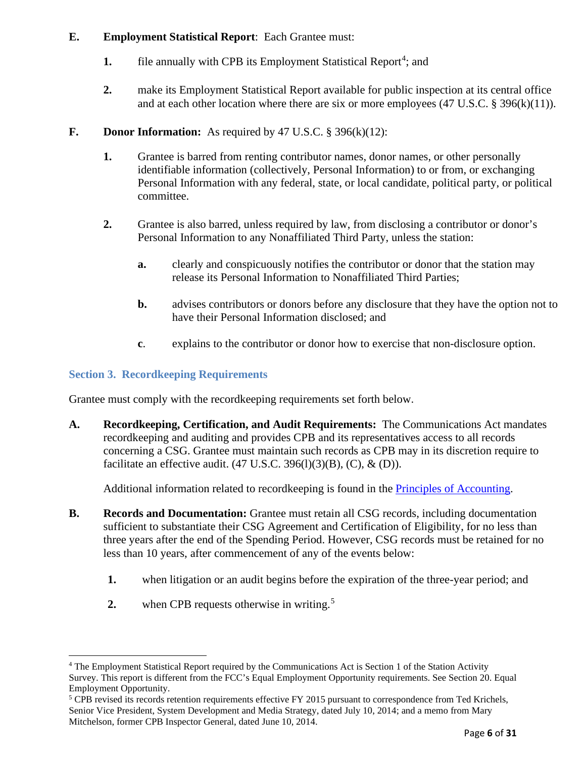# **E. Employment Statistical Report**: Each Grantee must:

- 1. file annually with CPB its Employment Statistical Report<sup>[4](#page-5-1)</sup>; and
- **2.** make its Employment Statistical Report available for public inspection at its central office and at each other location where there are six or more employees (47 U.S.C. § 396(k)(11)).
- **F. Donor Information:** As required by 47 U.S.C. § 396(k)(12):
	- **1.** Grantee is barred from renting contributor names, donor names, or other personally identifiable information (collectively, Personal Information) to or from, or exchanging Personal Information with any federal, state, or local candidate, political party, or political committee.
	- **2.** Grantee is also barred, unless required by law, from disclosing a contributor or donor's Personal Information to any Nonaffiliated Third Party, unless the station:
		- **a.** clearly and conspicuously notifies the contributor or donor that the station may release its Personal Information to Nonaffiliated Third Parties;
		- **b.** advises contributors or donors before any disclosure that they have the option not to have their Personal Information disclosed; and
		- **c**. explains to the contributor or donor how to exercise that non-disclosure option.

# <span id="page-5-0"></span>**Section 3. Recordkeeping Requirements**

Grantee must comply with the recordkeeping requirements set forth below.

**A. Recordkeeping, Certification, and Audit Requirements:** The Communications Act mandates recordkeeping and auditing and provides CPB and its representatives access to all records concerning a CSG. Grantee must maintain such records as CPB may in its discretion require to facilitate an effective audit.  $(47 \text{ U.S.C. } 396 \text{ (I)})(3)$  $(B)$ ,  $(C)$ ,  $\&$   $(D)$ ).

Additional information related to recordkeeping is found in the [Principles of Accounting.](http://www.cpb.org/stations/principles/principlesofaccounting050818.pdf)

- **B. Records and Documentation:** Grantee must retain all CSG records, including documentation sufficient to substantiate their CSG Agreement and Certification of Eligibility, for no less than three years after the end of the Spending Period. However, CSG records must be retained for no less than 10 years, after commencement of any of the events below:
	- **1.** when litigation or an audit begins before the expiration of the three-year period; and
	- **2.** when CPB requests otherwise in writing.<sup>[5](#page-5-2)</sup>

<span id="page-5-1"></span><sup>4</sup> The Employment Statistical Report required by the Communications Act is Section 1 of the Station Activity Survey. This report is different from the FCC's Equal Employment Opportunity requirements. See Section 20. Equal Employment Opportunity.

<span id="page-5-2"></span><sup>&</sup>lt;sup>5</sup> CPB revised its records retention requirements effective FY 2015 pursuant to correspondence from Ted Krichels, Senior Vice President, System Development and Media Strategy, dated July 10, 2014; and a memo from Mary Mitchelson, former CPB Inspector General, dated June 10, 2014.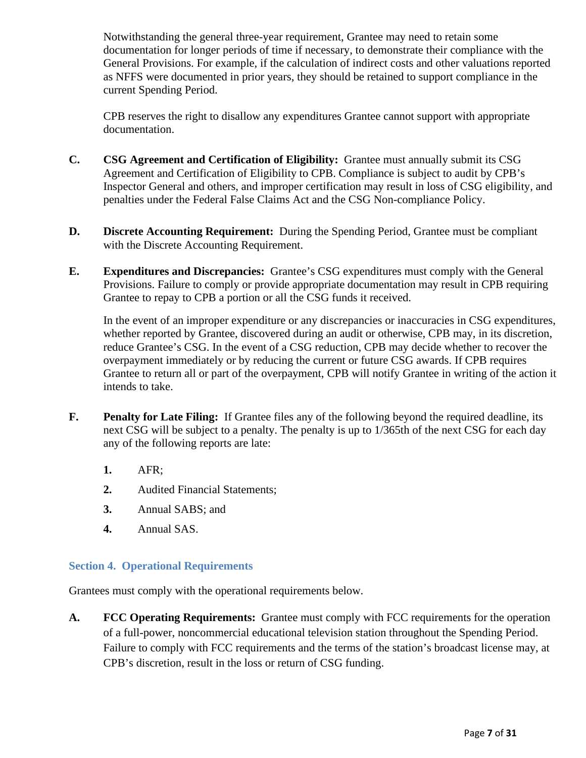Notwithstanding the general three-year requirement, Grantee may need to retain some documentation for longer periods of time if necessary, to demonstrate their compliance with the General Provisions. For example, if the calculation of indirect costs and other valuations reported as NFFS were documented in prior years, they should be retained to support compliance in the current Spending Period.

CPB reserves the right to disallow any expenditures Grantee cannot support with appropriate documentation.

- **C. CSG Agreement and Certification of Eligibility:** Grantee must annually submit its CSG Agreement and Certification of Eligibility to CPB. Compliance is subject to audit by CPB's Inspector General and others, and improper certification may result in loss of CSG eligibility, and penalties under the Federal False Claims Act and the CSG Non-compliance Policy.
- **D. Discrete Accounting Requirement:** During the Spending Period, Grantee must be compliant with the Discrete Accounting Requirement.
- **E. Expenditures and Discrepancies:** Grantee's CSG expenditures must comply with the General Provisions. Failure to comply or provide appropriate documentation may result in CPB requiring Grantee to repay to CPB a portion or all the CSG funds it received.

In the event of an improper expenditure or any discrepancies or inaccuracies in CSG expenditures, whether reported by Grantee, discovered during an audit or otherwise, CPB may, in its discretion, reduce Grantee's CSG. In the event of a CSG reduction, CPB may decide whether to recover the overpayment immediately or by reducing the current or future CSG awards. If CPB requires Grantee to return all or part of the overpayment, CPB will notify Grantee in writing of the action it intends to take.

- **F. Penalty for Late Filing:** If Grantee files any of the following beyond the required deadline, its next CSG will be subject to a penalty. The penalty is up to 1/365th of the next CSG for each day any of the following reports are late:
	- **1.** AFR;
	- **2.** Audited Financial Statements;
	- **3.** Annual SABS; and
	- **4.** Annual SAS.

# <span id="page-6-0"></span>**Section 4. Operational Requirements**

Grantees must comply with the operational requirements below.

**A. FCC Operating Requirements:** Grantee must comply with FCC requirements for the operation of a full-power, noncommercial educational television station throughout the Spending Period. Failure to comply with FCC requirements and the terms of the station's broadcast license may, at CPB's discretion, result in the loss or return of CSG funding.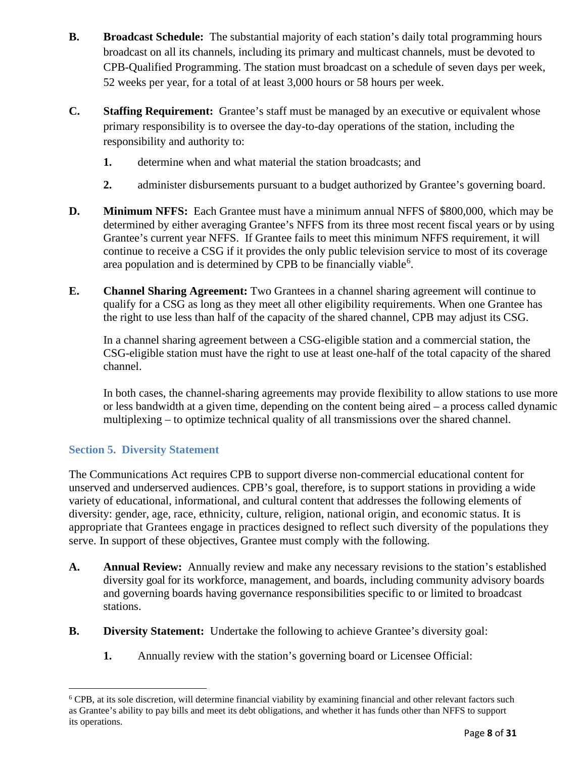- **B. Broadcast Schedule:** The substantial majority of each station's daily total programming hours broadcast on all its channels, including its primary and multicast channels, must be devoted to CPB-Qualified Programming. The station must broadcast on a schedule of seven days per week, 52 weeks per year, for a total of at least 3,000 hours or 58 hours per week.
- **C. Staffing Requirement:** Grantee's staff must be managed by an executive or equivalent whose primary responsibility is to oversee the day-to-day operations of the station, including the responsibility and authority to:
	- **1.** determine when and what material the station broadcasts; and
	- **2.** administer disbursements pursuant to a budget authorized by Grantee's governing board.
- **D. Minimum NFFS:** Each Grantee must have a minimum annual NFFS of \$800,000, which may be determined by either averaging Grantee's NFFS from its three most recent fiscal years or by using Grantee's current year NFFS. If Grantee fails to meet this minimum NFFS requirement, it will continue to receive a CSG if it provides the only public television service to most of its coverage area population and is determined by CPB to be financially viable<sup>[6](#page-7-1)</sup>.
- **E. Channel Sharing Agreement:** Two Grantees in a channel sharing agreement will continue to qualify for a CSG as long as they meet all other eligibility requirements. When one Grantee has the right to use less than half of the capacity of the shared channel, CPB may adjust its CSG.

In a channel sharing agreement between a CSG-eligible station and a commercial station, the CSG-eligible station must have the right to use at least one-half of the total capacity of the shared channel.

In both cases, the channel-sharing agreements may provide flexibility to allow stations to use more or less bandwidth at a given time, depending on the content being aired – a process called dynamic multiplexing – to optimize technical quality of all transmissions over the shared channel.

# <span id="page-7-0"></span>**Section 5. Diversity Statement**

The Communications Act requires CPB to support diverse non-commercial educational content for unserved and underserved audiences. CPB's goal, therefore, is to support stations in providing a wide variety of educational, informational, and cultural content that addresses the following elements of diversity: gender, age, race, ethnicity, culture, religion, national origin, and economic status. It is appropriate that Grantees engage in practices designed to reflect such diversity of the populations they serve. In support of these objectives, Grantee must comply with the following.

- **A. Annual Review:** Annually review and make any necessary revisions to the station's established diversity goal for its workforce, management, and boards, including community advisory boards and governing boards having governance responsibilities specific to or limited to broadcast stations.
- **B. Diversity Statement:** Undertake the following to achieve Grantee's diversity goal:
	- **1.** Annually review with the station's governing board or Licensee Official:

<span id="page-7-1"></span><sup>6</sup> CPB, at its sole discretion, will determine financial viability by examining financial and other relevant factors such as Grantee's ability to pay bills and meet its debt obligations, and whether it has funds other than NFFS to support its operations.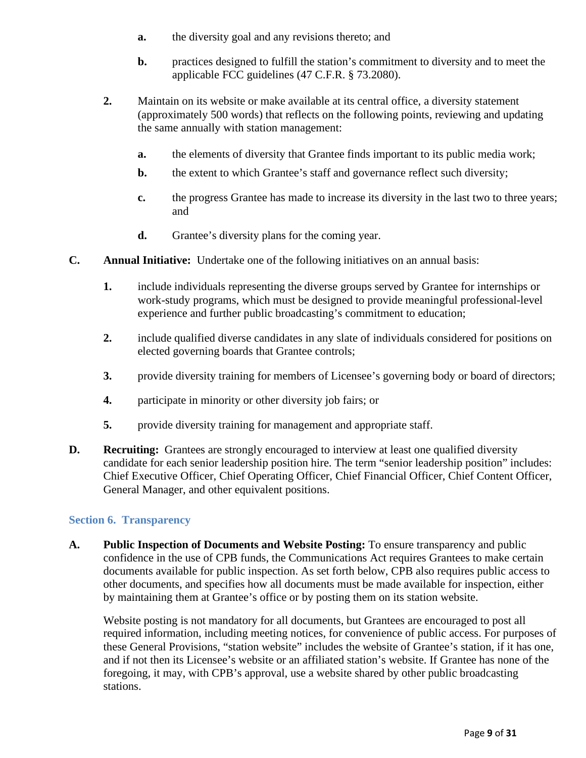- **a.** the diversity goal and any revisions thereto; and
- **b.** practices designed to fulfill the station's commitment to diversity and to meet the applicable FCC guidelines (47 C.F.R. § 73.2080).
- **2.** Maintain on its website or make available at its central office, a diversity statement (approximately 500 words) that reflects on the following points, reviewing and updating the same annually with station management:
	- **a.** the elements of diversity that Grantee finds important to its public media work;
	- **b.** the extent to which Grantee's staff and governance reflect such diversity;
	- **c.** the progress Grantee has made to increase its diversity in the last two to three years; and
	- **d.** Grantee's diversity plans for the coming year.
- **C. Annual Initiative:** Undertake one of the following initiatives on an annual basis:
	- **1.** include individuals representing the diverse groups served by Grantee for internships or work-study programs, which must be designed to provide meaningful professional-level experience and further public broadcasting's commitment to education;
	- **2.** include qualified diverse candidates in any slate of individuals considered for positions on elected governing boards that Grantee controls;
	- **3.** provide diversity training for members of Licensee's governing body or board of directors;
	- **4.** participate in minority or other diversity job fairs; or
	- **5.** provide diversity training for management and appropriate staff.
- **D. Recruiting:** Grantees are strongly encouraged to interview at least one qualified diversity candidate for each senior leadership position hire. The term "senior leadership position" includes: Chief Executive Officer, Chief Operating Officer, Chief Financial Officer, Chief Content Officer, General Manager, and other equivalent positions.

#### <span id="page-8-0"></span>**Section 6. Transparency**

**A. Public Inspection of Documents and Website Posting:** To ensure transparency and public confidence in the use of CPB funds, the Communications Act requires Grantees to make certain documents available for public inspection. As set forth below, CPB also requires public access to other documents, and specifies how all documents must be made available for inspection, either by maintaining them at Grantee's office or by posting them on its station website.

Website posting is not mandatory for all documents, but Grantees are encouraged to post all required information, including meeting notices, for convenience of public access. For purposes of these General Provisions, "station website" includes the website of Grantee's station, if it has one, and if not then its Licensee's website or an affiliated station's website. If Grantee has none of the foregoing, it may, with CPB's approval, use a website shared by other public broadcasting stations.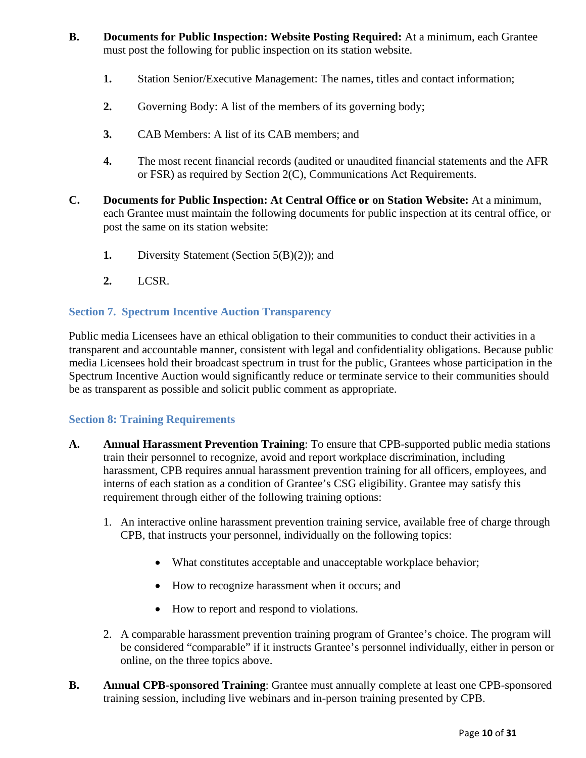- **B. Documents for Public Inspection: Website Posting Required:** At a minimum, each Grantee must post the following for public inspection on its station website.
	- **1.** Station Senior/Executive Management: The names, titles and contact information;
	- **2.** Governing Body: A list of the members of its governing body;
	- **3.** CAB Members: A list of its CAB members; and
	- **4.** The most recent financial records (audited or unaudited financial statements and the AFR or FSR) as required by Section 2(C), Communications Act Requirements.
- **C. Documents for Public Inspection: At Central Office or on Station Website:** At a minimum, each Grantee must maintain the following documents for public inspection at its central office, or post the same on its station website:
	- **1.** Diversity Statement (Section 5(B)(2)); and
	- **2.** LCSR.

# <span id="page-9-0"></span>**Section 7. Spectrum Incentive Auction Transparency**

Public media Licensees have an ethical obligation to their communities to conduct their activities in a transparent and accountable manner, consistent with legal and confidentiality obligations. Because public media Licensees hold their broadcast spectrum in trust for the public, Grantees whose participation in the Spectrum Incentive Auction would significantly reduce or terminate service to their communities should be as transparent as possible and solicit public comment as appropriate.

# <span id="page-9-1"></span>**Section 8: Training Requirements**

- **A. Annual Harassment Prevention Training**: To ensure that CPB-supported public media stations train their personnel to recognize, avoid and report workplace discrimination, including harassment, CPB requires annual harassment prevention training for all officers, employees, and interns of each station as a condition of Grantee's CSG eligibility. Grantee may satisfy this requirement through either of the following training options:
	- 1. An interactive online harassment prevention training service, available free of charge through CPB, that instructs your personnel, individually on the following topics:
		- What constitutes acceptable and unacceptable workplace behavior;
		- How to recognize harassment when it occurs; and
		- How to report and respond to violations.
	- 2. A comparable harassment prevention training program of Grantee's choice. The program will be considered "comparable" if it instructs Grantee's personnel individually, either in person or online, on the three topics above.
- **B. Annual CPB-sponsored Training**: Grantee must annually complete at least one CPB-sponsored training session, including live webinars and in-person training presented by CPB.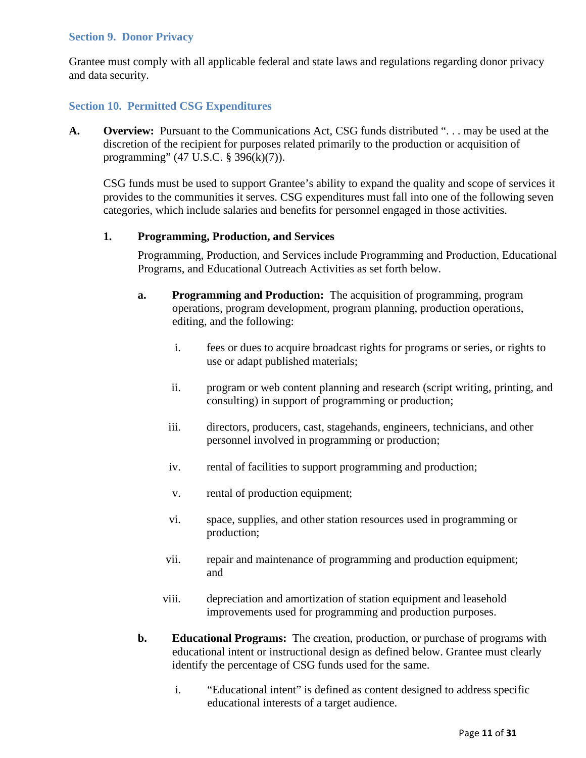#### <span id="page-10-0"></span>**Section 9. Donor Privacy**

Grantee must comply with all applicable federal and state laws and regulations regarding donor privacy and data security.

## <span id="page-10-1"></span>**Section 10. Permitted CSG Expenditures**

**A. Overview:** Pursuant to the Communications Act, CSG funds distributed ". . . may be used at the discretion of the recipient for purposes related primarily to the production or acquisition of programming" (47 U.S.C. § 396(k)(7)).

CSG funds must be used to support Grantee's ability to expand the quality and scope of services it provides to the communities it serves. CSG expenditures must fall into one of the following seven categories, which include salaries and benefits for personnel engaged in those activities.

#### **1. Programming, Production, and Services**

Programming, Production, and Services include Programming and Production, Educational Programs, and Educational Outreach Activities as set forth below.

- **a. Programming and Production:** The acquisition of programming, program operations, program development, program planning, production operations, editing, and the following:
	- i. fees or dues to acquire broadcast rights for programs or series, or rights to use or adapt published materials;
	- ii. program or web content planning and research (script writing, printing, and consulting) in support of programming or production;
	- iii. directors, producers, cast, stagehands, engineers, technicians, and other personnel involved in programming or production;
	- iv. rental of facilities to support programming and production;
	- v. rental of production equipment;
	- vi. space, supplies, and other station resources used in programming or production;
	- vii. repair and maintenance of programming and production equipment; and
	- viii. depreciation and amortization of station equipment and leasehold improvements used for programming and production purposes.
- **b. Educational Programs:** The creation, production, or purchase of programs with educational intent or instructional design as defined below. Grantee must clearly identify the percentage of CSG funds used for the same.
	- i. "Educational intent" is defined as content designed to address specific educational interests of a target audience.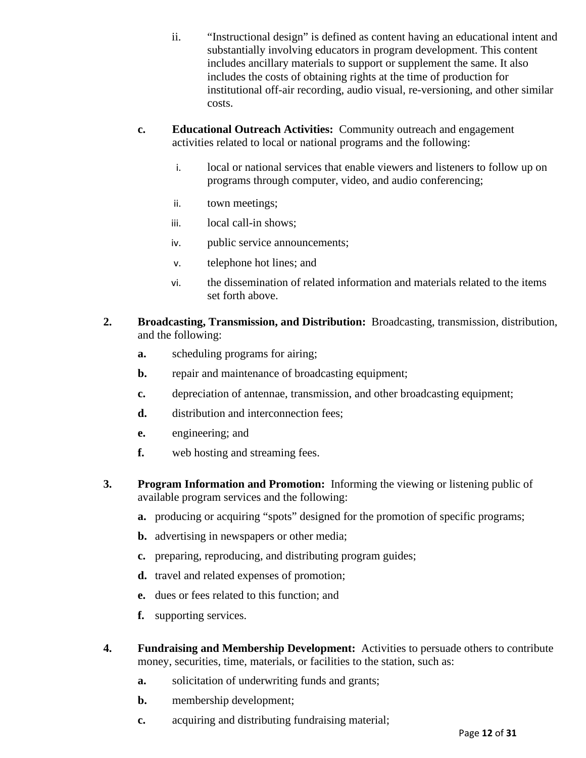- ii. "Instructional design" is defined as content having an educational intent and substantially involving educators in program development. This content includes ancillary materials to support or supplement the same. It also includes the costs of obtaining rights at the time of production for institutional off-air recording, audio visual, re-versioning, and other similar costs.
- **c. Educational Outreach Activities:** Community outreach and engagement activities related to local or national programs and the following:
	- i. local or national services that enable viewers and listeners to follow up on programs through computer, video, and audio conferencing;
	- ii. town meetings;
	- iii. local call-in shows;
	- iv. public service announcements;
	- v. telephone hot lines; and
	- vi. the dissemination of related information and materials related to the items set forth above.
- **2. Broadcasting, Transmission, and Distribution:** Broadcasting, transmission, distribution, and the following:
	- **a.** scheduling programs for airing;
	- **b.** repair and maintenance of broadcasting equipment;
	- **c.** depreciation of antennae, transmission, and other broadcasting equipment;
	- d. distribution and interconnection fees;
	- **e.** engineering; and
	- **f.** web hosting and streaming fees.
- **3. Program Information and Promotion:** Informing the viewing or listening public of available program services and the following:
	- **a.** producing or acquiring "spots" designed for the promotion of specific programs;
	- **b.** advertising in newspapers or other media;
	- **c.** preparing, reproducing, and distributing program guides;
	- **d.** travel and related expenses of promotion;
	- **e.** dues or fees related to this function; and
	- **f.** supporting services.
- **4. Fundraising and Membership Development:** Activities to persuade others to contribute money, securities, time, materials, or facilities to the station, such as:
	- **a.** solicitation of underwriting funds and grants;
	- **b.** membership development;
	- **c.** acquiring and distributing fundraising material;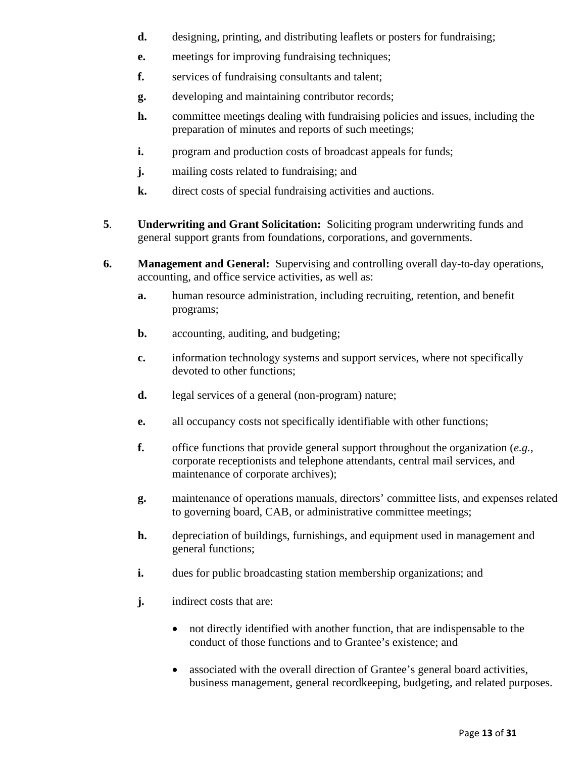- **d.** designing, printing, and distributing leaflets or posters for fundraising;
- **e.** meetings for improving fundraising techniques;
- **f.** services of fundraising consultants and talent;
- **g.** developing and maintaining contributor records;
- **h.** committee meetings dealing with fundraising policies and issues, including the preparation of minutes and reports of such meetings;
- **i.** program and production costs of broadcast appeals for funds;
- **j.** mailing costs related to fundraising; and
- **k.** direct costs of special fundraising activities and auctions.
- **5**. **Underwriting and Grant Solicitation:** Soliciting program underwriting funds and general support grants from foundations, corporations, and governments.
- **6. Management and General:** Supervising and controlling overall day-to-day operations, accounting, and office service activities, as well as:
	- **a.** human resource administration, including recruiting, retention, and benefit programs;
	- **b.** accounting, auditing, and budgeting;
	- **c.** information technology systems and support services, where not specifically devoted to other functions;
	- **d.** legal services of a general (non-program) nature;
	- **e.** all occupancy costs not specifically identifiable with other functions;
	- **f.** office functions that provide general support throughout the organization (*e.g.*, corporate receptionists and telephone attendants, central mail services, and maintenance of corporate archives);
	- **g.** maintenance of operations manuals, directors' committee lists, and expenses related to governing board, CAB, or administrative committee meetings;
	- **h.** depreciation of buildings, furnishings, and equipment used in management and general functions;
	- **i.** dues for public broadcasting station membership organizations; and
	- **j.** indirect costs that are:
		- not directly identified with another function, that are indispensable to the conduct of those functions and to Grantee's existence; and
		- associated with the overall direction of Grantee's general board activities, business management, general recordkeeping, budgeting, and related purposes.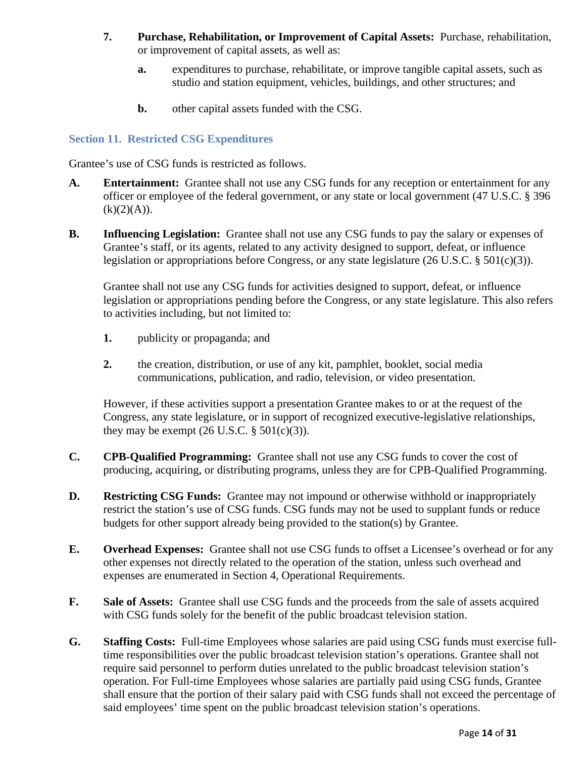- **7. Purchase, Rehabilitation, or Improvement of Capital Assets:** Purchase, rehabilitation, or improvement of capital assets, as well as:
	- **a.** expenditures to purchase, rehabilitate, or improve tangible capital assets, such as studio and station equipment, vehicles, buildings, and other structures; and
	- **b.** other capital assets funded with the CSG.

# <span id="page-13-0"></span>**Section 11. Restricted CSG Expenditures**

Grantee's use of CSG funds is restricted as follows.

- **A. Entertainment:** Grantee shall not use any CSG funds for any reception or entertainment for any officer or employee of the federal government, or any state or local government (47 U.S.C. § 396  $(k)(2)(A)).$
- **B. Influencing Legislation:** Grantee shall not use any CSG funds to pay the salary or expenses of Grantee's staff, or its agents, related to any activity designed to support, defeat, or influence legislation or appropriations before Congress, or any state legislature  $(26 \text{ U.S.C. } § 501(c)(3))$ .

Grantee shall not use any CSG funds for activities designed to support, defeat, or influence legislation or appropriations pending before the Congress, or any state legislature. This also refers to activities including, but not limited to:

- **1.** publicity or propaganda; and
- **2.** the creation, distribution, or use of any kit, pamphlet, booklet, social media communications, publication, and radio, television, or video presentation.

However, if these activities support a presentation Grantee makes to or at the request of the Congress, any state legislature, or in support of recognized executive-legislative relationships, they may be exempt  $(26 \text{ U.S.C.} \S 501(c)(3))$ .

- **C. CPB-Qualified Programming:** Grantee shall not use any CSG funds to cover the cost of producing, acquiring, or distributing programs, unless they are for CPB-Qualified Programming.
- **D. Restricting CSG Funds:** Grantee may not impound or otherwise withhold or inappropriately restrict the station's use of CSG funds. CSG funds may not be used to supplant funds or reduce budgets for other support already being provided to the station(s) by Grantee.
- **E. Overhead Expenses:** Grantee shall not use CSG funds to offset a Licensee's overhead or for any other expenses not directly related to the operation of the station, unless such overhead and expenses are enumerated in Section 4, Operational Requirements.
- **F. Sale of Assets:** Grantee shall use CSG funds and the proceeds from the sale of assets acquired with CSG funds solely for the benefit of the public broadcast television station.
- **G. Staffing Costs:** Full-time Employees whose salaries are paid using CSG funds must exercise fulltime responsibilities over the public broadcast television station's operations. Grantee shall not require said personnel to perform duties unrelated to the public broadcast television station's operation. For Full-time Employees whose salaries are partially paid using CSG funds, Grantee shall ensure that the portion of their salary paid with CSG funds shall not exceed the percentage of said employees' time spent on the public broadcast television station's operations.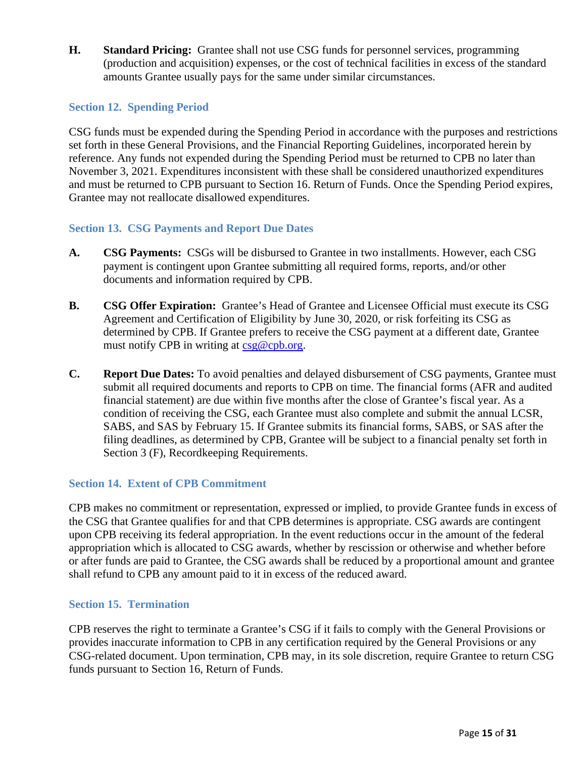**H. Standard Pricing:** Grantee shall not use CSG funds for personnel services, programming (production and acquisition) expenses, or the cost of technical facilities in excess of the standard amounts Grantee usually pays for the same under similar circumstances.

## <span id="page-14-0"></span>**Section 12. Spending Period**

CSG funds must be expended during the Spending Period in accordance with the purposes and restrictions set forth in these General Provisions, and the Financial Reporting Guidelines, incorporated herein by reference. Any funds not expended during the Spending Period must be returned to CPB no later than November 3, 2021. Expenditures inconsistent with these shall be considered unauthorized expenditures and must be returned to CPB pursuant to Section 16. Return of Funds. Once the Spending Period expires, Grantee may not reallocate disallowed expenditures.

## <span id="page-14-1"></span>**Section 13. CSG Payments and Report Due Dates**

- **A. CSG Payments:** CSGs will be disbursed to Grantee in two installments. However, each CSG payment is contingent upon Grantee submitting all required forms, reports, and/or other documents and information required by CPB.
- **B. CSG Offer Expiration:** Grantee's Head of Grantee and Licensee Official must execute its CSG Agreement and Certification of Eligibility by June 30, 2020, or risk forfeiting its CSG as determined by CPB. If Grantee prefers to receive the CSG payment at a different date, Grantee must notify CPB in writing at [csg@cpb.org.](mailto:csg@cpb.org)
- **C. Report Due Dates:** To avoid penalties and delayed disbursement of CSG payments, Grantee must submit all required documents and reports to CPB on time. The financial forms (AFR and audited financial statement) are due within five months after the close of Grantee's fiscal year. As a condition of receiving the CSG, each Grantee must also complete and submit the annual LCSR, SABS, and SAS by February 15. If Grantee submits its financial forms, SABS, or SAS after the filing deadlines, as determined by CPB, Grantee will be subject to a financial penalty set forth in Section 3 (F), Recordkeeping Requirements.

# <span id="page-14-2"></span>**Section 14. Extent of CPB Commitment**

CPB makes no commitment or representation, expressed or implied, to provide Grantee funds in excess of the CSG that Grantee qualifies for and that CPB determines is appropriate. CSG awards are contingent upon CPB receiving its federal appropriation. In the event reductions occur in the amount of the federal appropriation which is allocated to CSG awards, whether by rescission or otherwise and whether before or after funds are paid to Grantee, the CSG awards shall be reduced by a proportional amount and grantee shall refund to CPB any amount paid to it in excess of the reduced award.

#### <span id="page-14-3"></span>**Section 15. Termination**

CPB reserves the right to terminate a Grantee's CSG if it fails to comply with the General Provisions or provides inaccurate information to CPB in any certification required by the General Provisions or any CSG-related document. Upon termination, CPB may, in its sole discretion, require Grantee to return CSG funds pursuant to Section 16, Return of Funds.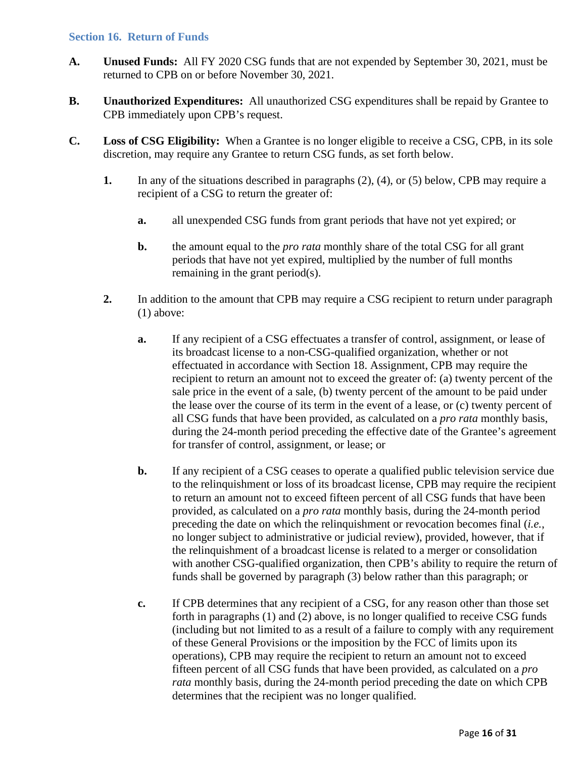#### <span id="page-15-0"></span>**Section 16. Return of Funds**

- **A. Unused Funds:** All FY 2020 CSG funds that are not expended by September 30, 2021, must be returned to CPB on or before November 30, 2021.
- **B. Unauthorized Expenditures:** All unauthorized CSG expenditures shall be repaid by Grantee to CPB immediately upon CPB's request.
- **C. Loss of CSG Eligibility:** When a Grantee is no longer eligible to receive a CSG, CPB, in its sole discretion, may require any Grantee to return CSG funds, as set forth below.
	- **1.** In any of the situations described in paragraphs (2), (4), or (5) below, CPB may require a recipient of a CSG to return the greater of:
		- **a.** all unexpended CSG funds from grant periods that have not yet expired; or
		- **b.** the amount equal to the *pro rata* monthly share of the total CSG for all grant periods that have not yet expired, multiplied by the number of full months remaining in the grant period(s).
	- **2.** In addition to the amount that CPB may require a CSG recipient to return under paragraph (1) above:
		- **a.** If any recipient of a CSG effectuates a transfer of control, assignment, or lease of its broadcast license to a non-CSG-qualified organization, whether or not effectuated in accordance with Section 18. Assignment, CPB may require the recipient to return an amount not to exceed the greater of: (a) twenty percent of the sale price in the event of a sale, (b) twenty percent of the amount to be paid under the lease over the course of its term in the event of a lease, or (c) twenty percent of all CSG funds that have been provided, as calculated on a *pro rata* monthly basis, during the 24-month period preceding the effective date of the Grantee's agreement for transfer of control, assignment, or lease; or
		- **b.** If any recipient of a CSG ceases to operate a qualified public television service due to the relinquishment or loss of its broadcast license, CPB may require the recipient to return an amount not to exceed fifteen percent of all CSG funds that have been provided, as calculated on a *pro rata* monthly basis, during the 24-month period preceding the date on which the relinquishment or revocation becomes final (*i.e.*, no longer subject to administrative or judicial review), provided, however, that if the relinquishment of a broadcast license is related to a merger or consolidation with another CSG-qualified organization, then CPB's ability to require the return of funds shall be governed by paragraph (3) below rather than this paragraph; or
		- **c.** If CPB determines that any recipient of a CSG, for any reason other than those set forth in paragraphs (1) and (2) above, is no longer qualified to receive CSG funds (including but not limited to as a result of a failure to comply with any requirement of these General Provisions or the imposition by the FCC of limits upon its operations), CPB may require the recipient to return an amount not to exceed fifteen percent of all CSG funds that have been provided, as calculated on a *pro rata* monthly basis, during the 24-month period preceding the date on which CPB determines that the recipient was no longer qualified.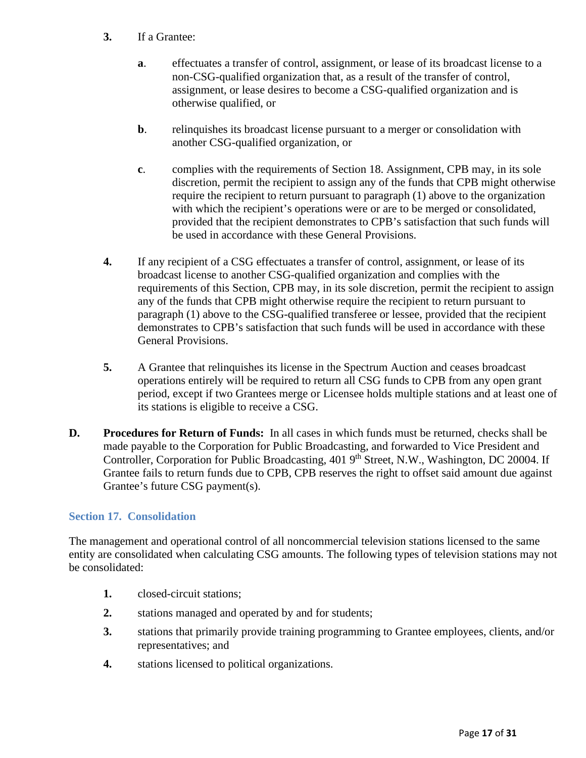- **3.** If a Grantee:
	- **a**. effectuates a transfer of control, assignment, or lease of its broadcast license to a non-CSG-qualified organization that, as a result of the transfer of control, assignment, or lease desires to become a CSG-qualified organization and is otherwise qualified, or
	- **b.** relinquishes its broadcast license pursuant to a merger or consolidation with another CSG-qualified organization, or
	- **c**. complies with the requirements of Section 18. Assignment, CPB may, in its sole discretion, permit the recipient to assign any of the funds that CPB might otherwise require the recipient to return pursuant to paragraph (1) above to the organization with which the recipient's operations were or are to be merged or consolidated, provided that the recipient demonstrates to CPB's satisfaction that such funds will be used in accordance with these General Provisions.
- **4.** If any recipient of a CSG effectuates a transfer of control, assignment, or lease of its broadcast license to another CSG-qualified organization and complies with the requirements of this Section, CPB may, in its sole discretion, permit the recipient to assign any of the funds that CPB might otherwise require the recipient to return pursuant to paragraph (1) above to the CSG-qualified transferee or lessee, provided that the recipient demonstrates to CPB's satisfaction that such funds will be used in accordance with these General Provisions.
- **5.** A Grantee that relinquishes its license in the Spectrum Auction and ceases broadcast operations entirely will be required to return all CSG funds to CPB from any open grant period, except if two Grantees merge or Licensee holds multiple stations and at least one of its stations is eligible to receive a CSG.
- **D. Procedures for Return of Funds:** In all cases in which funds must be returned, checks shall be made payable to the Corporation for Public Broadcasting, and forwarded to Vice President and Controller, Corporation for Public Broadcasting, 401 9<sup>th</sup> Street, N.W., Washington, DC 20004. If Grantee fails to return funds due to CPB, CPB reserves the right to offset said amount due against Grantee's future CSG payment(s).

# <span id="page-16-0"></span>**Section 17. Consolidation**

The management and operational control of all noncommercial television stations licensed to the same entity are consolidated when calculating CSG amounts. The following types of television stations may not be consolidated:

- **1.** closed-circuit stations;
- **2.** stations managed and operated by and for students;
- **3.** stations that primarily provide training programming to Grantee employees, clients, and/or representatives; and
- **4.** stations licensed to political organizations.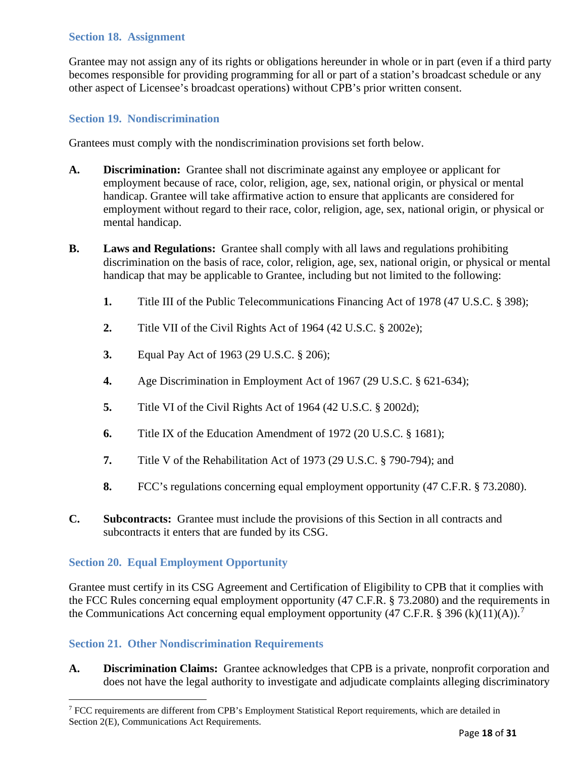## <span id="page-17-0"></span>**Section 18. Assignment**

Grantee may not assign any of its rights or obligations hereunder in whole or in part (even if a third party becomes responsible for providing programming for all or part of a station's broadcast schedule or any other aspect of Licensee's broadcast operations) without CPB's prior written consent.

## <span id="page-17-1"></span>**Section 19. Nondiscrimination**

Grantees must comply with the nondiscrimination provisions set forth below.

- **A. Discrimination:** Grantee shall not discriminate against any employee or applicant for employment because of race, color, religion, age, sex, national origin, or physical or mental handicap. Grantee will take affirmative action to ensure that applicants are considered for employment without regard to their race, color, religion, age, sex, national origin, or physical or mental handicap.
- **B. Laws and Regulations:** Grantee shall comply with all laws and regulations prohibiting discrimination on the basis of race, color, religion, age, sex, national origin, or physical or mental handicap that may be applicable to Grantee, including but not limited to the following:
	- **1.** Title III of the Public Telecommunications Financing Act of 1978 (47 U.S.C. § 398);
	- **2.** Title VII of the Civil Rights Act of 1964 (42 U.S.C. § 2002e);
	- **3.** Equal Pay Act of 1963 (29 U.S.C. § 206);
	- **4.** Age Discrimination in Employment Act of 1967 (29 U.S.C. § 621-634);
	- **5.** Title VI of the Civil Rights Act of 1964 (42 U.S.C. § 2002d);
	- **6.** Title IX of the Education Amendment of 1972 (20 U.S.C. § 1681);
	- **7.** Title V of the Rehabilitation Act of 1973 (29 U.S.C. § 790-794); and
	- **8.** FCC's regulations concerning equal employment opportunity (47 C.F.R. § 73.2080).
- **C. Subcontracts:** Grantee must include the provisions of this Section in all contracts and subcontracts it enters that are funded by its CSG.

#### <span id="page-17-2"></span>**Section 20. Equal Employment Opportunity**

Grantee must certify in its CSG Agreement and Certification of Eligibility to CPB that it complies with the FCC Rules concerning equal employment opportunity (47 C.F.R. § 73.2080) and the requirements in the Communications Act concerning equal employment opportunity (4[7](#page-17-4) C.F.R. § 396 (k)(11)(A)).<sup>7</sup>

#### <span id="page-17-3"></span>**Section 21. Other Nondiscrimination Requirements**

**A. Discrimination Claims:** Grantee acknowledges that CPB is a private, nonprofit corporation and does not have the legal authority to investigate and adjudicate complaints alleging discriminatory

<span id="page-17-4"></span><sup>7</sup> FCC requirements are different from CPB's Employment Statistical Report requirements, which are detailed in Section 2(E), Communications Act Requirements.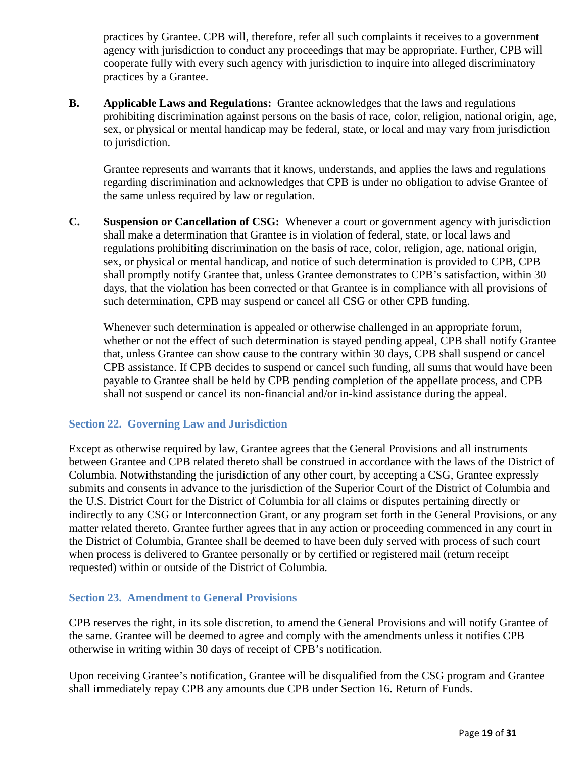practices by Grantee. CPB will, therefore, refer all such complaints it receives to a government agency with jurisdiction to conduct any proceedings that may be appropriate. Further, CPB will cooperate fully with every such agency with jurisdiction to inquire into alleged discriminatory practices by a Grantee.

**B. Applicable Laws and Regulations:** Grantee acknowledges that the laws and regulations prohibiting discrimination against persons on the basis of race, color, religion, national origin, age, sex, or physical or mental handicap may be federal, state, or local and may vary from jurisdiction to jurisdiction.

Grantee represents and warrants that it knows, understands, and applies the laws and regulations regarding discrimination and acknowledges that CPB is under no obligation to advise Grantee of the same unless required by law or regulation.

**C. Suspension or Cancellation of CSG:** Whenever a court or government agency with jurisdiction shall make a determination that Grantee is in violation of federal, state, or local laws and regulations prohibiting discrimination on the basis of race, color, religion, age, national origin, sex, or physical or mental handicap, and notice of such determination is provided to CPB, CPB shall promptly notify Grantee that, unless Grantee demonstrates to CPB's satisfaction, within 30 days, that the violation has been corrected or that Grantee is in compliance with all provisions of such determination, CPB may suspend or cancel all CSG or other CPB funding.

Whenever such determination is appealed or otherwise challenged in an appropriate forum, whether or not the effect of such determination is stayed pending appeal, CPB shall notify Grantee that, unless Grantee can show cause to the contrary within 30 days, CPB shall suspend or cancel CPB assistance. If CPB decides to suspend or cancel such funding, all sums that would have been payable to Grantee shall be held by CPB pending completion of the appellate process, and CPB shall not suspend or cancel its non-financial and/or in-kind assistance during the appeal.

# <span id="page-18-0"></span>**Section 22. Governing Law and Jurisdiction**

Except as otherwise required by law, Grantee agrees that the General Provisions and all instruments between Grantee and CPB related thereto shall be construed in accordance with the laws of the District of Columbia. Notwithstanding the jurisdiction of any other court, by accepting a CSG, Grantee expressly submits and consents in advance to the jurisdiction of the Superior Court of the District of Columbia and the U.S. District Court for the District of Columbia for all claims or disputes pertaining directly or indirectly to any CSG or Interconnection Grant, or any program set forth in the General Provisions, or any matter related thereto. Grantee further agrees that in any action or proceeding commenced in any court in the District of Columbia, Grantee shall be deemed to have been duly served with process of such court when process is delivered to Grantee personally or by certified or registered mail (return receipt requested) within or outside of the District of Columbia.

# <span id="page-18-1"></span>**Section 23. Amendment to General Provisions**

CPB reserves the right, in its sole discretion, to amend the General Provisions and will notify Grantee of the same. Grantee will be deemed to agree and comply with the amendments unless it notifies CPB otherwise in writing within 30 days of receipt of CPB's notification.

Upon receiving Grantee's notification, Grantee will be disqualified from the CSG program and Grantee shall immediately repay CPB any amounts due CPB under Section 16. Return of Funds.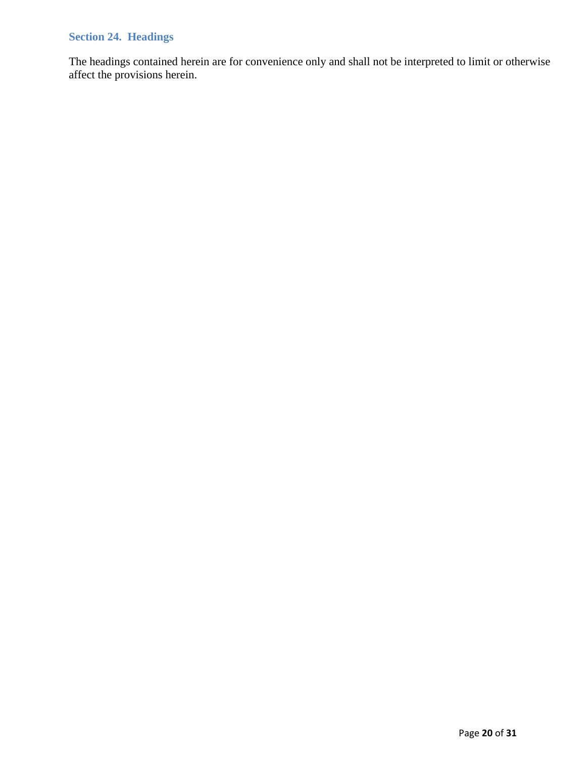# <span id="page-19-0"></span>**Section 24. Headings**

The headings contained herein are for convenience only and shall not be interpreted to limit or otherwise affect the provisions herein.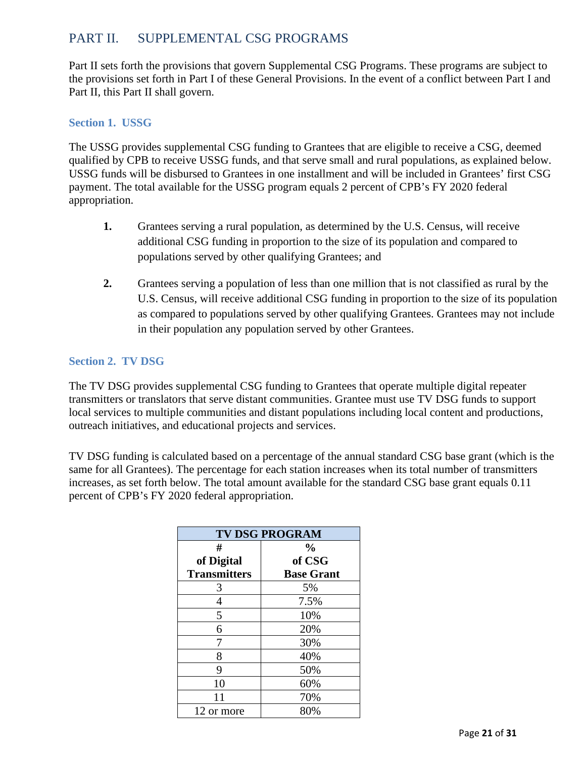# <span id="page-20-0"></span>PART II. SUPPLEMENTAL CSG PROGRAMS

Part II sets forth the provisions that govern Supplemental CSG Programs. These programs are subject to the provisions set forth in Part I of these General Provisions. In the event of a conflict between Part I and Part II, this Part II shall govern.

# <span id="page-20-1"></span>**Section 1. USSG**

The USSG provides supplemental CSG funding to Grantees that are eligible to receive a CSG, deemed qualified by CPB to receive USSG funds, and that serve small and rural populations, as explained below. USSG funds will be disbursed to Grantees in one installment and will be included in Grantees' first CSG payment. The total available for the USSG program equals 2 percent of CPB's FY 2020 federal appropriation.

- **1.** Grantees serving a rural population, as determined by the U.S. Census, will receive additional CSG funding in proportion to the size of its population and compared to populations served by other qualifying Grantees; and
- **2.** Grantees serving a population of less than one million that is not classified as rural by the U.S. Census, will receive additional CSG funding in proportion to the size of its population as compared to populations served by other qualifying Grantees. Grantees may not include in their population any population served by other Grantees.

# <span id="page-20-2"></span>**Section 2. TV DSG**

The TV DSG provides supplemental CSG funding to Grantees that operate multiple digital repeater transmitters or translators that serve distant communities. Grantee must use TV DSG funds to support local services to multiple communities and distant populations including local content and productions, outreach initiatives, and educational projects and services.

TV DSG funding is calculated based on a percentage of the annual standard CSG base grant (which is the same for all Grantees). The percentage for each station increases when its total number of transmitters increases, as set forth below. The total amount available for the standard CSG base grant equals 0.11 percent of CPB's FY 2020 federal appropriation.

| <b>TV DSG PROGRAM</b> |                   |  |  |  |
|-----------------------|-------------------|--|--|--|
| #                     | $\frac{0}{0}$     |  |  |  |
| of Digital            | of CSG            |  |  |  |
| <b>Transmitters</b>   | <b>Base Grant</b> |  |  |  |
| 3                     | 5%                |  |  |  |
| 4                     | 7.5%              |  |  |  |
| 5                     | 10%               |  |  |  |
| 6                     | 20%               |  |  |  |
| 7                     | 30%               |  |  |  |
| 8                     | 40%               |  |  |  |
| 9                     | 50%               |  |  |  |
| 10                    | 60%               |  |  |  |
| 11                    | 70%               |  |  |  |
| 12 or more            | 80%               |  |  |  |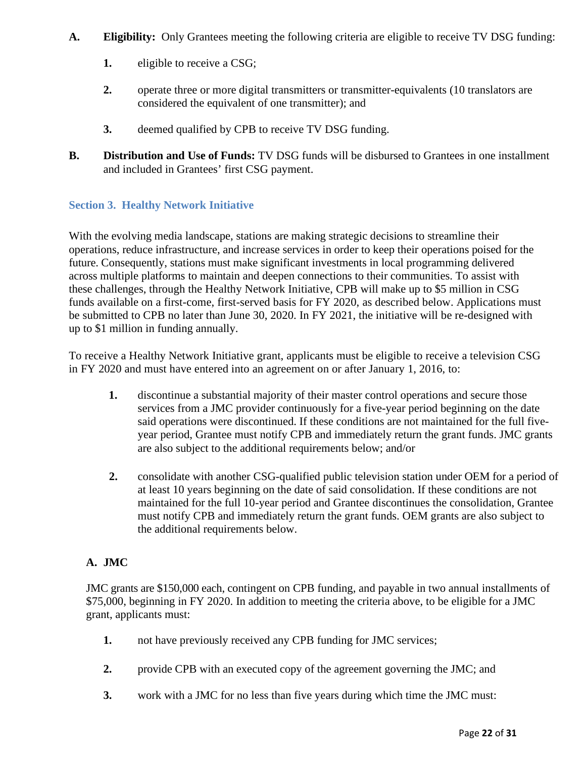- **A. Eligibility:** Only Grantees meeting the following criteria are eligible to receive TV DSG funding:
	- **1.** eligible to receive a CSG;
	- 2. operate three or more digital transmitters or transmitter-equivalents (10 translators are considered the equivalent of one transmitter); and
	- **3.** deemed qualified by CPB to receive TV DSG funding.
- **B. Distribution and Use of Funds:** TV DSG funds will be disbursed to Grantees in one installment and included in Grantees' first CSG payment.

# <span id="page-21-0"></span>**Section 3. Healthy Network Initiative**

With the evolving media landscape, stations are making strategic decisions to streamline their operations, reduce infrastructure, and increase services in order to keep their operations poised for the future. Consequently, stations must make significant investments in local programming delivered across multiple platforms to maintain and deepen connections to their communities. To assist with these challenges, through the Healthy Network Initiative, CPB will make up to \$5 million in CSG funds available on a first-come, first-served basis for FY 2020, as described below. Applications must be submitted to CPB no later than June 30, 2020. In FY 2021, the initiative will be re-designed with up to \$1 million in funding annually.

To receive a Healthy Network Initiative grant, applicants must be eligible to receive a television CSG in FY 2020 and must have entered into an agreement on or after January 1, 2016, to:

- **1.** discontinue a substantial majority of their master control operations and secure those services from a JMC provider continuously for a five-year period beginning on the date said operations were discontinued. If these conditions are not maintained for the full fiveyear period, Grantee must notify CPB and immediately return the grant funds. JMC grants are also subject to the additional requirements below; and/or
- **2.** consolidate with another CSG-qualified public television station under OEM for a period of at least 10 years beginning on the date of said consolidation. If these conditions are not maintained for the full 10-year period and Grantee discontinues the consolidation, Grantee must notify CPB and immediately return the grant funds. OEM grants are also subject to the additional requirements below.

# **A. JMC**

JMC grants are \$150,000 each, contingent on CPB funding, and payable in two annual installments of \$75,000, beginning in FY 2020. In addition to meeting the criteria above, to be eligible for a JMC grant, applicants must:

- **1.** not have previously received any CPB funding for JMC services;
- **2.** provide CPB with an executed copy of the agreement governing the JMC; and
- **3.** work with a JMC for no less than five years during which time the JMC must: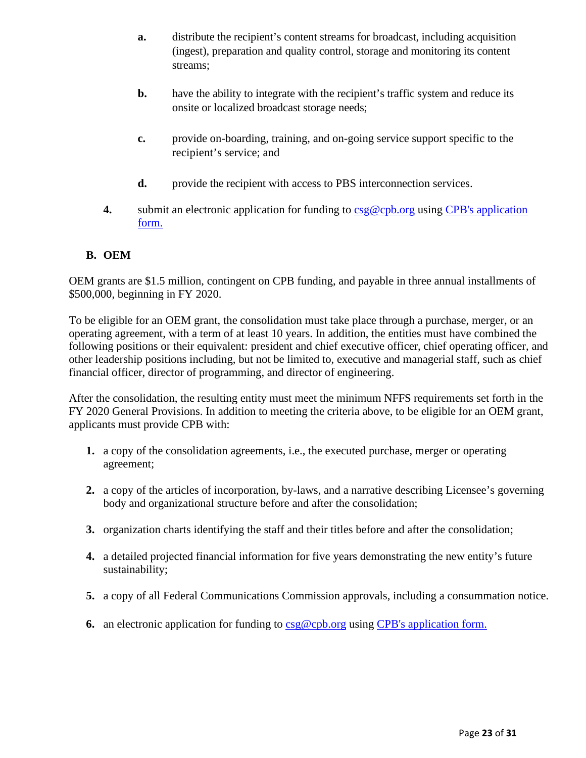- **a.** distribute the recipient's content streams for broadcast, including acquisition (ingest), preparation and quality control, storage and monitoring its content streams;
- **b.** have the ability to integrate with the recipient's traffic system and reduce its onsite or localized broadcast storage needs;
- **c.** provide on-boarding, training, and on-going service support specific to the recipient's service; and
- **d.** provide the recipient with access to PBS interconnection services.
- **4.** submit an electronic application for funding to  $csg@cpb.org$  using CPB's application [form.](https://www.cpb.org/grants/FY-2020-Healthy-Network-Initiative-Public-Television-Stations)

# **B. OEM**

OEM grants are \$1.5 million, contingent on CPB funding, and payable in three annual installments of \$500,000, beginning in FY 2020.

To be eligible for an OEM grant, the consolidation must take place through a purchase, merger, or an operating agreement, with a term of at least 10 years. In addition, the entities must have combined the following positions or their equivalent: president and chief executive officer, chief operating officer, and other leadership positions including, but not be limited to, executive and managerial staff, such as chief financial officer, director of programming, and director of engineering.

After the consolidation, the resulting entity must meet the minimum NFFS requirements set forth in the FY 2020 General Provisions. In addition to meeting the criteria above, to be eligible for an OEM grant, applicants must provide CPB with:

- **1.** a copy of the consolidation agreements, i.e., the executed purchase, merger or operating agreement;
- **2.** a copy of the articles of incorporation, by-laws, and a narrative describing Licensee's governing body and organizational structure before and after the consolidation;
- **3.** organization charts identifying the staff and their titles before and after the consolidation;
- **4.** a detailed projected financial information for five years demonstrating the new entity's future sustainability;
- **5.** a copy of all Federal Communications Commission approvals, including a consummation notice.
- **6.** an electronic application for funding to [csg@cpb.org](mailto:csg@cpb.org) using [CPB's application form.](https://www.cpb.org/grants/FY-2020-Healthy-Network-Initiative-Public-Television-Stations)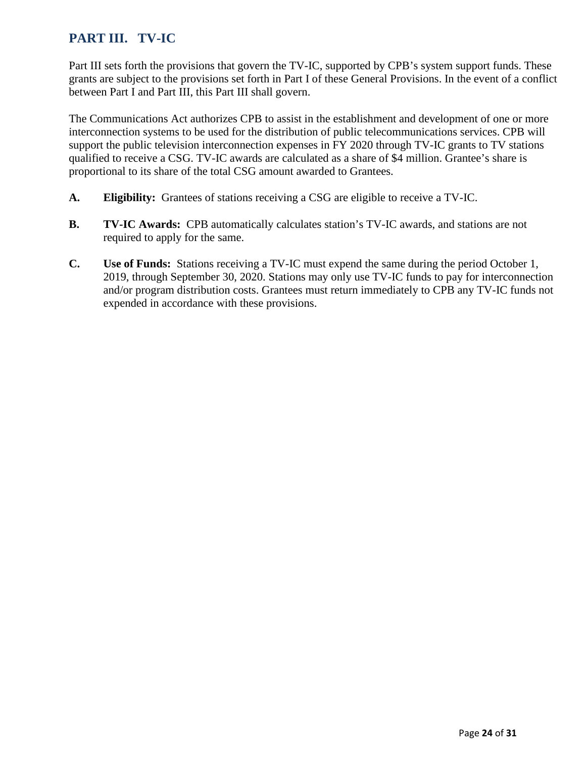# <span id="page-23-0"></span>**PART III. TV-IC**

Part III sets forth the provisions that govern the TV-IC, supported by CPB's system support funds. These grants are subject to the provisions set forth in Part I of these General Provisions. In the event of a conflict between Part I and Part III, this Part III shall govern.

The Communications Act authorizes CPB to assist in the establishment and development of one or more interconnection systems to be used for the distribution of public telecommunications services. CPB will support the public television interconnection expenses in FY 2020 through TV-IC grants to TV stations qualified to receive a CSG. TV-IC awards are calculated as a share of \$4 million. Grantee's share is proportional to its share of the total CSG amount awarded to Grantees.

- **A. Eligibility:** Grantees of stations receiving a CSG are eligible to receive a TV-IC.
- **B. TV-IC Awards:** CPB automatically calculates station's TV-IC awards, and stations are not required to apply for the same.
- **C. Use of Funds:** Stations receiving a TV-IC must expend the same during the period October 1, 2019, through September 30, 2020. Stations may only use TV-IC funds to pay for interconnection and/or program distribution costs. Grantees must return immediately to CPB any TV-IC funds not expended in accordance with these provisions.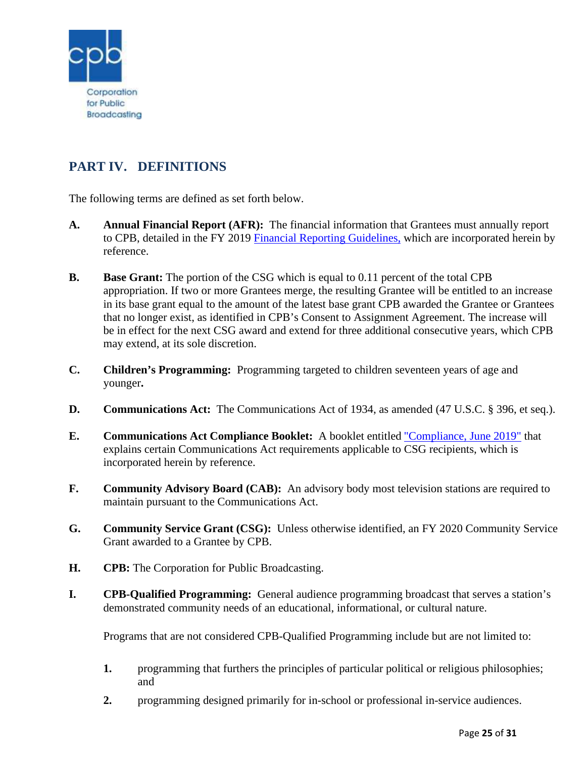

# <span id="page-24-0"></span>**PART IV. DEFINITIONS**

The following terms are defined as set forth below.

- **A. Annual Financial Report (AFR):** The financial information that Grantees must annually report to CPB, detailed in the FY 2019 [Financial Reporting Guidelines,](http://www.cpb.org/stations/frg/) which are incorporated herein by reference.
- **B. Base Grant:** The portion of the CSG which is equal to 0.11 percent of the total CPB appropriation. If two or more Grantees merge, the resulting Grantee will be entitled to an increase in its base grant equal to the amount of the latest base grant CPB awarded the Grantee or Grantees that no longer exist, as identified in CPB's Consent to Assignment Agreement. The increase will be in effect for the next CSG award and extend for three additional consecutive years, which CPB may extend, at its sole discretion.
- **C. Children's Programming:** Programming targeted to children seventeen years of age and younger**.**
- **D. Communications Act:** The Communications Act of 1934, as amended (47 U.S.C. § 396, et seq.).
- **E. Communications Act Compliance Booklet:** A booklet entitled ["Compliance, June 2019"](http://www.cpb.org/stations/certification) that explains certain Communications Act requirements applicable to CSG recipients, which is incorporated herein by reference.
- **F. Community Advisory Board (CAB):** An advisory body most television stations are required to maintain pursuant to the Communications Act.
- **G. Community Service Grant (CSG):** Unless otherwise identified, an FY 2020 Community Service Grant awarded to a Grantee by CPB.
- **H. CPB:** The Corporation for Public Broadcasting.
- **I. CPB-Qualified Programming:** General audience programming broadcast that serves a station's demonstrated community needs of an educational, informational, or cultural nature.

Programs that are not considered CPB-Qualified Programming include but are not limited to:

- **1.** programming that furthers the principles of particular political or religious philosophies; and
- **2.** programming designed primarily for in-school or professional in-service audiences.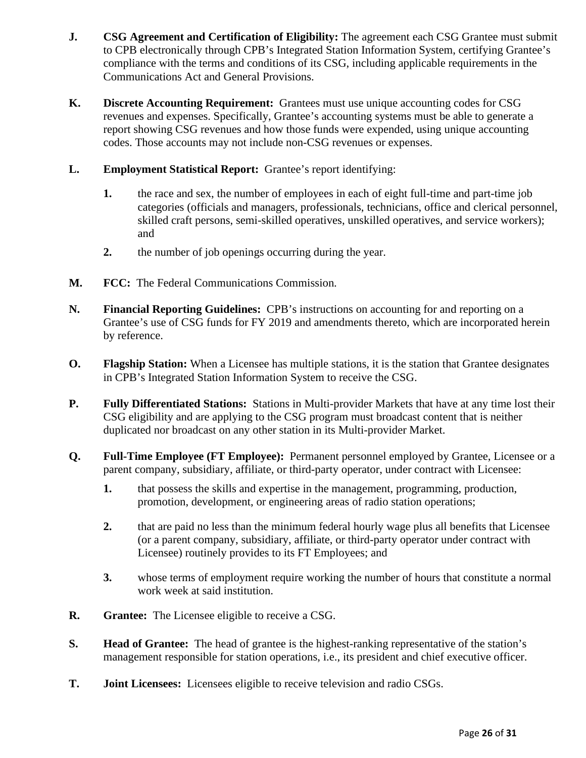- **J. CSG Agreement and Certification of Eligibility:** The agreement each CSG Grantee must submit to CPB electronically through CPB's Integrated Station Information System, certifying Grantee's compliance with the terms and conditions of its CSG, including applicable requirements in the Communications Act and General Provisions.
- **K. Discrete Accounting Requirement:** Grantees must use unique accounting codes for CSG revenues and expenses. Specifically, Grantee's accounting systems must be able to generate a report showing CSG revenues and how those funds were expended, using unique accounting codes. Those accounts may not include non-CSG revenues or expenses.
- **L. Employment Statistical Report:** Grantee's report identifying:
	- **1.** the race and sex, the number of employees in each of eight full-time and part-time job categories (officials and managers, professionals, technicians, office and clerical personnel, skilled craft persons, semi-skilled operatives, unskilled operatives, and service workers); and
	- **2.** the number of job openings occurring during the year.
- **M. FCC:** The Federal Communications Commission.
- **N. Financial Reporting Guidelines:** CPB's instructions on accounting for and reporting on a Grantee's use of CSG funds for FY 2019 and amendments thereto, which are incorporated herein by reference.
- **O. Flagship Station:** When a Licensee has multiple stations, it is the station that Grantee designates in CPB's Integrated Station Information System to receive the CSG.
- **P. Fully Differentiated Stations:** Stations in Multi-provider Markets that have at any time lost their CSG eligibility and are applying to the CSG program must broadcast content that is neither duplicated nor broadcast on any other station in its Multi-provider Market.
- **Q. Full-Time Employee (FT Employee):** Permanent personnel employed by Grantee, Licensee or a parent company, subsidiary, affiliate, or third-party operator, under contract with Licensee:
	- **1.** that possess the skills and expertise in the management, programming, production, promotion, development, or engineering areas of radio station operations;
	- **2.** that are paid no less than the minimum federal hourly wage plus all benefits that Licensee (or a parent company, subsidiary, affiliate, or third-party operator under contract with Licensee) routinely provides to its FT Employees; and
	- **3.** whose terms of employment require working the number of hours that constitute a normal work week at said institution.
- **R. Grantee:** The Licensee eligible to receive a CSG.
- **S. Head of Grantee:** The head of grantee is the highest-ranking representative of the station's management responsible for station operations, i.e., its president and chief executive officer.
- **T. Joint Licensees:** Licensees eligible to receive television and radio CSGs.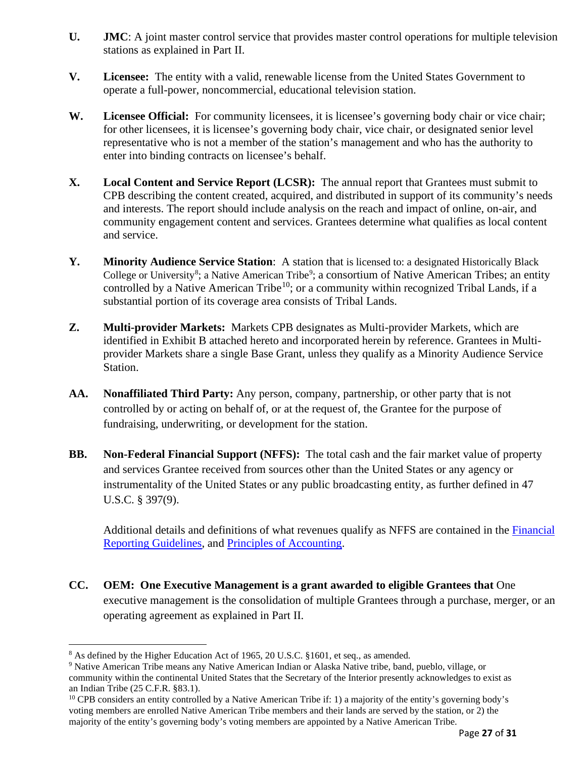- **U. JMC**: A joint master control service that provides master control operations for multiple television stations as explained in Part II.
- **V. Licensee:** The entity with a valid, renewable license from the United States Government to operate a full-power, noncommercial, educational television station.
- W. **Licensee Official:** For community licensees, it is licensee's governing body chair or vice chair; for other licensees, it is licensee's governing body chair, vice chair, or designated senior level representative who is not a member of the station's management and who has the authority to enter into binding contracts on licensee's behalf.
- **X. Local Content and Service Report (LCSR):** The annual report that Grantees must submit to CPB describing the content created, acquired, and distributed in support of its community's needs and interests. The report should include analysis on the reach and impact of online, on-air, and community engagement content and services. Grantees determine what qualifies as local content and service.
- **Y. Minority Audience Service Station**: A station that is licensed to: a designated Historically Black College or University<sup>[8](#page-26-0)</sup>; a Native American Tribe<sup>[9](#page-26-1)</sup>; a consortium of Native American Tribes; an entity controlled by a Native American Tribe<sup>[10](#page-26-2)</sup>; or a community within recognized Tribal Lands, if a substantial portion of its coverage area consists of Tribal Lands.
- **Z. Multi-provider Markets:** Markets CPB designates as Multi-provider Markets, which are identified in Exhibit B attached hereto and incorporated herein by reference. Grantees in Multiprovider Markets share a single Base Grant, unless they qualify as a Minority Audience Service Station.
- **AA. Nonaffiliated Third Party:** Any person, company, partnership, or other party that is not controlled by or acting on behalf of, or at the request of, the Grantee for the purpose of fundraising, underwriting, or development for the station.
- **BB. Non-Federal Financial Support (NFFS):** The total cash and the fair market value of property and services Grantee received from sources other than the United States or any agency or instrumentality of the United States or any public broadcasting entity, as further defined in 47 U.S.C. § 397(9).

Additional details and definitions of what revenues qualify as NFFS are contained in the [Financial](http://www.cpb.org/stations/frg/)  [Reporting Guidelines,](http://www.cpb.org/stations/frg/) and [Principles of Accounting.](http://www.cpb.org/stations/principles/principlesofaccounting050818.pdf)

**CC. OEM: One Executive Management is a grant awarded to eligible Grantees that** One executive management is the consolidation of multiple Grantees through a purchase, merger, or an operating agreement as explained in Part II.

<span id="page-26-0"></span><sup>&</sup>lt;sup>8</sup> As defined by the Higher Education Act of 1965, 20 U.S.C. §1601, et seq., as amended.

<span id="page-26-1"></span><sup>9</sup> Native American Tribe means any Native American Indian or Alaska Native tribe, band, pueblo, village, or community within the continental United States that the Secretary of the Interior presently acknowledges to exist as an Indian Tribe (25 C.F.R. §83.1).

<span id="page-26-2"></span><sup>&</sup>lt;sup>10</sup> CPB considers an entity controlled by a Native American Tribe if: 1) a majority of the entity's governing body's voting members are enrolled Native American Tribe members and their lands are served by the station, or 2) the majority of the entity's governing body's voting members are appointed by a Native American Tribe.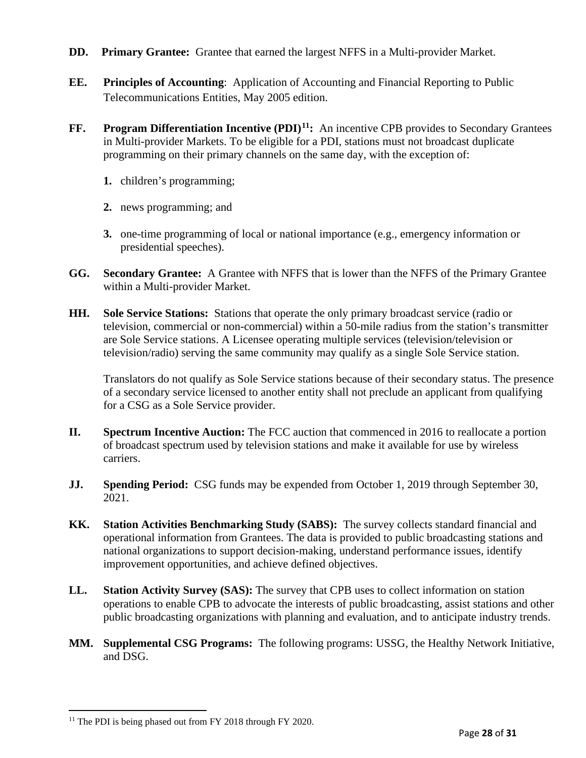- **DD.** Primary Grantee: Grantee that earned the largest NFFS in a Multi-provider Market.
- **EE. Principles of Accounting**: Application of Accounting and Financial Reporting to Public Telecommunications Entities, May 2005 edition.
- **FF. Program Differentiation Incentive (PDI)[11:](#page-27-0)** An incentive CPB provides to Secondary Grantees in Multi-provider Markets. To be eligible for a PDI, stations must not broadcast duplicate programming on their primary channels on the same day, with the exception of:
	- **1.** children's programming;
	- **2.** news programming; and
	- **3.** one-time programming of local or national importance (e.g., emergency information or presidential speeches).
- **GG. Secondary Grantee:** A Grantee with NFFS that is lower than the NFFS of the Primary Grantee within a Multi-provider Market.
- **HH. Sole Service Stations:** Stations that operate the only primary broadcast service (radio or television, commercial or non-commercial) within a 50-mile radius from the station's transmitter are Sole Service stations. A Licensee operating multiple services (television/television or television/radio) serving the same community may qualify as a single Sole Service station.

Translators do not qualify as Sole Service stations because of their secondary status. The presence of a secondary service licensed to another entity shall not preclude an applicant from qualifying for a CSG as a Sole Service provider.

- **II. Spectrum Incentive Auction:** The FCC auction that commenced in 2016 to reallocate a portion of broadcast spectrum used by television stations and make it available for use by wireless carriers.
- **JJ. Spending Period:** CSG funds may be expended from October 1, 2019 through September 30, 2021.
- **KK. Station Activities Benchmarking Study (SABS):** The survey collects standard financial and operational information from Grantees. The data is provided to public broadcasting stations and national organizations to support decision-making, understand performance issues, identify improvement opportunities, and achieve defined objectives.
- **LL. Station Activity Survey (SAS):** The survey that CPB uses to collect information on station operations to enable CPB to advocate the interests of public broadcasting, assist stations and other public broadcasting organizations with planning and evaluation, and to anticipate industry trends.
- **MM. Supplemental CSG Programs:** The following programs: USSG, the Healthy Network Initiative, and DSG.

<span id="page-27-0"></span><sup>&</sup>lt;sup>11</sup> The PDI is being phased out from FY 2018 through FY 2020.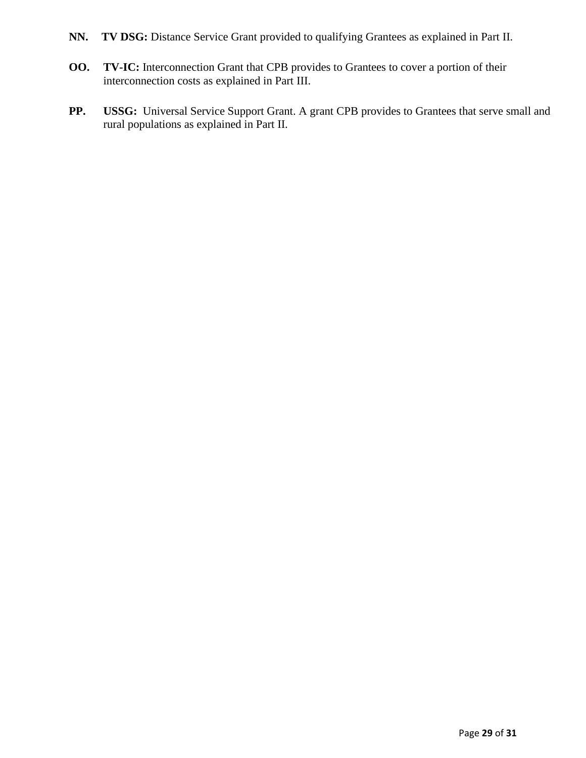- **NN. TV DSG:** Distance Service Grant provided to qualifying Grantees as explained in Part II.
- **OO. TV-IC:** Interconnection Grant that CPB provides to Grantees to cover a portion of their interconnection costs as explained in Part III.
- **PP. USSG:** Universal Service Support Grant. A grant CPB provides to Grantees that serve small and rural populations as explained in Part II.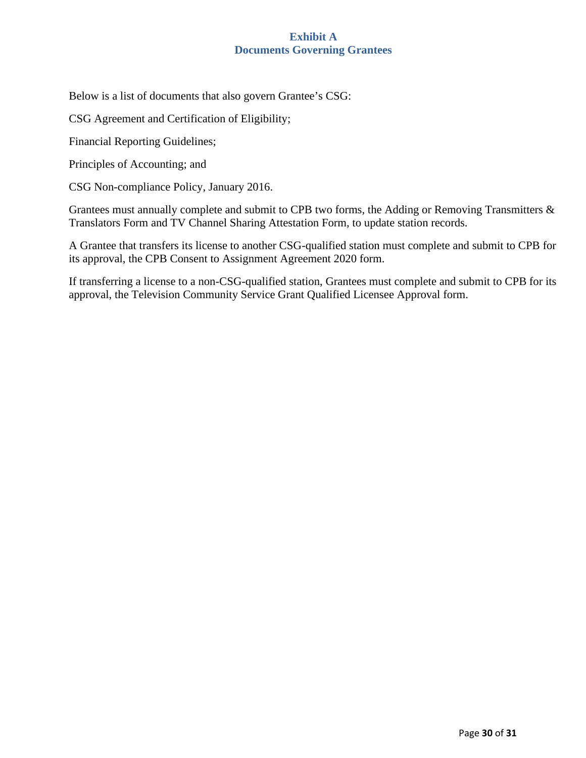# **Exhibit A Documents Governing Grantees**

<span id="page-29-0"></span>Below is a list of documents that also govern Grantee's CSG:

CSG Agreement and Certification of Eligibility;

Financial Reporting Guidelines;

Principles of Accounting; and

CSG Non-compliance Policy, January 2016.

Grantees must annually complete and submit to CPB two forms, the Adding or Removing Transmitters & Translators Form and TV Channel Sharing Attestation Form, to update station records.

A Grantee that transfers its license to another CSG-qualified station must complete and submit to CPB for its approval, the CPB Consent to Assignment Agreement 2020 form.

If transferring a license to a non-CSG-qualified station, Grantees must complete and submit to CPB for its approval, the Television Community Service Grant Qualified Licensee Approval form.